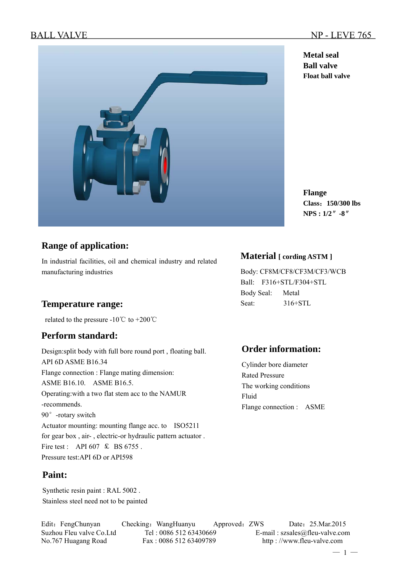**Metal seal Ball valve Float ball valve** 

**Flange**

**Class**:**150/300 lbs NPS : 1/2**″**-8**″



# **Range of application:**

In industrial facilities, oil and chemical industry and related manufacturing industries

## Temperature range: Seat: 316+STL

related to the pressure -10 $\degree$ C to +200 $\degree$ C

## **Perform standard:**

Design:split body with full bore round port , floating ball. API 6D ASME B16.34 Flange connection : Flange mating dimension: ASME B16.10. ASME B16.5. Operating:with a two flat stem acc to the NAMUR -recommends. 90°-rotary switch Actuator mounting: mounting flange acc. to ISO5211 for gear box , air- , electric-or hydraulic pattern actuator . Fire test : API 607  $\text{\&}$  BS 6755. Pressure test:API 6D or API598

## **Paint:**

Synthetic resin paint : RAL 5002 . Stainless steel need not to be painted

## **Material [ cording ASTM ]**

Body: CF8M/CF8/CF3M/CF3/WCB Ball: F316+STL/F304+STL Body Seal: Metal

## **Order information:**

Cylinder bore diameter Rated Pressure The working conditions Fluid Flange connection : ASME

Edit: FengChunyan Checking: WangHuanyu Approved: ZWS Date: 25.Mar.2015 Suzhou Fleu valve Co.Ltd Tel : 0086 512 63430669 E-mail : szsales@fleu-valve.com No.767 Huagang Road Fax : 0086 512 63409789 http : //www.fleu-valve.com

 $-1-$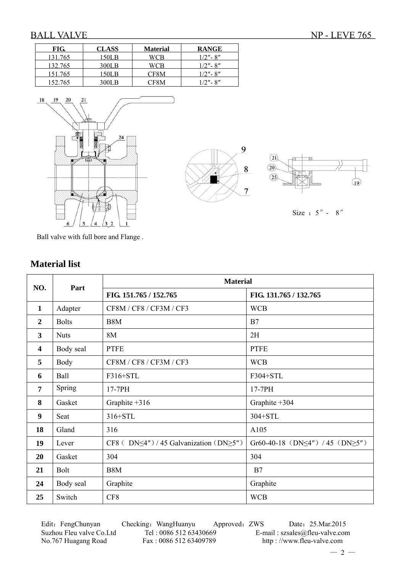$\overline{19}$ 

Size :  $5'' - 8''$ 

9

8

 $\overline{7}$ 

a an

 $(21)$  $\overline{20}$ 

 $(25)$ 

| FIG.    | <b>CLASS</b> | <b>Material</b> | <b>RANGE</b>  |
|---------|--------------|-----------------|---------------|
| 131.765 | 150LB        | WCB             | $1/2"$ - 8"   |
| 132.765 | 300LB        | WCB             | $1/2"$ - 8"   |
| 151.765 | 150LB        | CF8M            | $1/2"$ - 8"   |
| 152.765 | 300LB        | CF8M            | $1/2"$ - $8"$ |



Ball valve with full bore and Flange .

|                         |              | <b>Material</b>                                          |                                               |  |  |  |
|-------------------------|--------------|----------------------------------------------------------|-----------------------------------------------|--|--|--|
| NO.                     | Part         | FIG. 151.765 / 152.765                                   | FIG. 131.765 / 132.765                        |  |  |  |
| 1                       | Adapter      | CF8M / CF8 / CF3M / CF3                                  | <b>WCB</b>                                    |  |  |  |
| $\overline{2}$          | <b>Bolts</b> | B <sub>8</sub> M                                         | B7                                            |  |  |  |
| 3                       | <b>Nuts</b>  | 8M                                                       | 2H                                            |  |  |  |
| $\overline{\mathbf{4}}$ | Body seal    | <b>PTFE</b>                                              | <b>PTFE</b>                                   |  |  |  |
| 5                       | Body         | CF8M / CF8 / CF3M / CF3                                  | <b>WCB</b>                                    |  |  |  |
| 6                       | Ball         | F316+STL                                                 | F304+STL                                      |  |  |  |
| 7                       | Spring       | 17-7PH                                                   | 17-7PH                                        |  |  |  |
| 8                       | Gasket       | Graphite $+316$                                          | Graphite $+304$                               |  |  |  |
| 9                       | Seat         | 316+STL                                                  | 304+STL                                       |  |  |  |
| 18                      | Gland        | 316                                                      | A105                                          |  |  |  |
| 19                      | Lever        | CF8 ( $DN \leq 4"$ ) / 45 Galvanization ( $DN \geq 5"$ ) | Gr60-40-18 (DN $\leq$ 4") / 45 (DN $\geq$ 5") |  |  |  |
| 20                      | Gasket       | 304                                                      | 304                                           |  |  |  |
| 21                      | <b>Bolt</b>  | B <sub>8</sub> M                                         | B7                                            |  |  |  |
| 24                      | Body seal    | Graphite                                                 | Graphite                                      |  |  |  |
| 25                      | Switch       | CF8                                                      | <b>WCB</b>                                    |  |  |  |

## **Material list**

Edit: FengChunyan Checking: WangHuanyu Approved: ZWS Date: 25.Mar.2015 Suzhou Fleu valve Co.Ltd Tel : 0086 512 63430669 E-mail : szsales@fleu-valve.com<br>No.767 Huagang Road Fax : 0086 512 63409789 http : //www.fleu-valve.com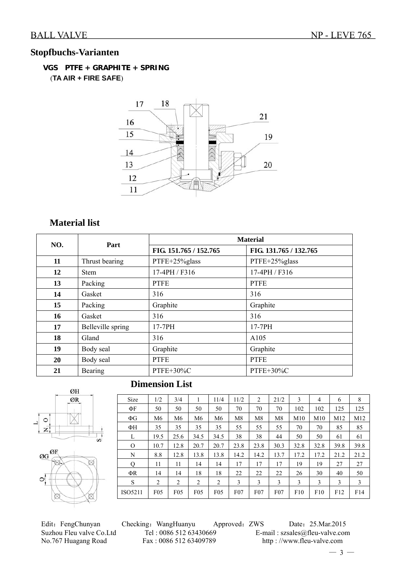# **Stopfbuchs-Varianten**

## **VGS PTFE + GRAPHITE + SPRING** (**TA AIR + FIRE SAFE**)



## **Material list**

| NO. | Part              |                        | <b>Material</b>        |  |  |  |  |  |  |
|-----|-------------------|------------------------|------------------------|--|--|--|--|--|--|
|     |                   | FIG. 151.765 / 152.765 | FIG. 131.765 / 132.765 |  |  |  |  |  |  |
| 11  | Thrust bearing    | PTFE+25%glass          | PTFE+25%glass          |  |  |  |  |  |  |
| 12  | <b>Stem</b>       | 17-4PH / F316          | 17-4PH / F316          |  |  |  |  |  |  |
| 13  | Packing           | <b>PTFE</b>            | <b>PTFE</b>            |  |  |  |  |  |  |
| 14  | Gasket            | 316                    | 316                    |  |  |  |  |  |  |
| 15  | Packing           | Graphite               | Graphite               |  |  |  |  |  |  |
| 16  | Gasket            | 316                    | 316                    |  |  |  |  |  |  |
| 17  | Belleville spring | 17-7PH                 | 17-7PH                 |  |  |  |  |  |  |
| 18  | Gland             | 316                    | A105                   |  |  |  |  |  |  |
| 19  | Body seal         | Graphite               | Graphite               |  |  |  |  |  |  |
| 20  | Body seal         | <b>PTFE</b>            | <b>PTFE</b>            |  |  |  |  |  |  |
| 21  | <b>Bearing</b>    | PTFE+30%C              | PTFE+30%C              |  |  |  |  |  |  |



# **Dimension List**

| <b>Size</b> | 1/2             | 3/4             | 1               | 11/4 | 11/2 | 2    | 21/2 | 3    | 4    | 6    | 8    |
|-------------|-----------------|-----------------|-----------------|------|------|------|------|------|------|------|------|
| ΦF          | 50              | 50              | 50              | 50   | 70   | 70   | 70   | 102  | 102  | 125  | 125  |
| $\Phi$ G    | M6              | M <sub>6</sub>  | M <sub>6</sub>  | M6   | M8   | M8   | M8   | M10  | M10  | M12  | M12  |
| ΦН          | 35              | 35              | 35              | 35   | 55   | 55   | 55   | 70   | 70   | 85   | 85   |
| L           | 19.5            | 25.6            | 34.5            | 34.5 | 38   | 38   | 44   | 50   | 50   | 61   | 61   |
| $\Omega$    | 10.7            | 12.8            | 20.7            | 20.7 | 23.8 | 23.8 | 30.3 | 32.8 | 32.8 | 39.8 | 39.8 |
| N           | 8.8             | 12.8            | 13.8            | 13.8 | 14.2 | 14.2 | 13.7 | 17.2 | 17.2 | 21.2 | 21.2 |
| Q           | 11              | 11              | 14              | 14   | 17   | 17   | 17   | 19   | 19   | 27   | 27   |
| ΦR          | 14              | 14              | 18              | 18   | 22   | 22   | 22   | 26   | 30   | 40   | 50   |
| S           | 2               | 2               | 2               | 2    | 3    | 3    | 3    | 3    | 3    | 3    | 3    |
| ISO5211     | F <sub>05</sub> | F <sub>05</sub> | F <sub>05</sub> | F05  | F07  | F07  | F07  | F10  | F10  | F12  | F14  |

Edit: FengChunyan Checking: WangHuanyu Approved: ZWS Date: 25.Mar.2015 Suzhou Fleu valve Co.Ltd Tel : 0086 512 63430669 E-mail : szsales@fleu-valve.com<br>No.767 Huagang Road Fax : 0086 512 63409789 http : //www.fleu-valve.com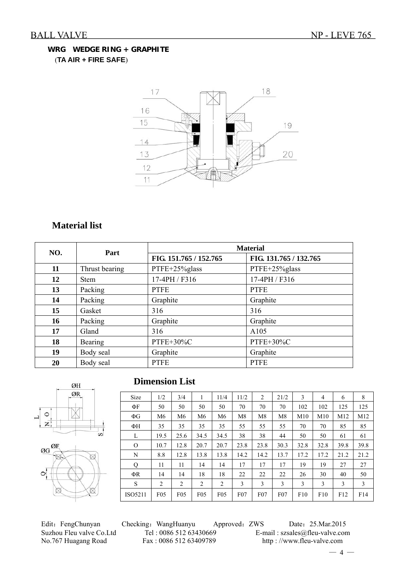## **WRG WEDGE RING + GRAPHITE** (**TA AIR + FIRE SAFE**)



# **Material list**

| NO. | Part           |                        | <b>Material</b>        |  |  |  |  |  |  |
|-----|----------------|------------------------|------------------------|--|--|--|--|--|--|
|     |                | FIG. 151.765 / 152.765 | FIG. 131.765 / 132.765 |  |  |  |  |  |  |
| 11  | Thrust bearing | PTFE+25%glass          | PTFE+25%glass          |  |  |  |  |  |  |
| 12  | <b>Stem</b>    | 17-4PH / F316          | 17-4PH / F316          |  |  |  |  |  |  |
| 13  | Packing        | <b>PTFE</b>            | <b>PTFE</b>            |  |  |  |  |  |  |
| 14  | Packing        | Graphite               | Graphite               |  |  |  |  |  |  |
| 15  | Gasket         | 316                    | 316                    |  |  |  |  |  |  |
| 16  | Packing        | Graphite               | Graphite               |  |  |  |  |  |  |
| 17  | Gland          | 316                    | A105                   |  |  |  |  |  |  |
| 18  | Bearing        | PTFE+30%C              | PTFE+30%C              |  |  |  |  |  |  |
| 19  | Body seal      | Graphite               | Graphite               |  |  |  |  |  |  |
| 20  | Body seal      | <b>PTFE</b>            | <b>PTFE</b>            |  |  |  |  |  |  |



## **Dimension List**

| Size     | 1/2             | 3/4             | 1               | 11/4           | 11/2 | 2    | 21/2 | 3    | 4    | 6    | 8    |
|----------|-----------------|-----------------|-----------------|----------------|------|------|------|------|------|------|------|
| ΦF       | 50              | 50              | 50              | 50             | 70   | 70   | 70   | 102  | 102  | 125  | 125  |
| $\Phi$ G | M <sub>6</sub>  | M <sub>6</sub>  | M <sub>6</sub>  | M <sub>6</sub> | M8   | M8   | M8   | M10  | M10  | M12  | M12  |
| ΦH       | 35              | 35              | 35              | 35             | 55   | 55   | 55   | 70   | 70   | 85   | 85   |
| L        | 19.5            | 25.6            | 34.5            | 34.5           | 38   | 38   | 44   | 50   | 50   | 61   | 61   |
| $\Omega$ | 10.7            | 12.8            | 20.7            | 20.7           | 23.8 | 23.8 | 30.3 | 32.8 | 32.8 | 39.8 | 39.8 |
| N        | 8.8             | 12.8            | 13.8            | 13.8           | 14.2 | 14.2 | 13.7 | 17.2 | 17.2 | 21.2 | 21.2 |
| Q        | 11              | 11              | 14              | 14             | 17   | 17   | 17   | 19   | 19   | 27   | 27   |
| ΦR       | 14              | 14              | 18              | 18             | 22   | 22   | 22   | 26   | 30   | 40   | 50   |
| S        | 2               | 2               | 2               | 2              | 3    | 3    | 3    | 3    | 3    | 3    | 3    |
| ISO5211  | F <sub>05</sub> | F <sub>05</sub> | F <sub>05</sub> | $F_{05}$       | F07  | F07  | F07  | F10  | F10  | F12  | F14  |

Edit: FengChunyan Checking: WangHuanyu Approved: ZWS Date: 25.Mar.2015 Suzhou Fleu valve Co.Ltd Tel : 0086 512 63430669 E-mail : szsales@fleu-valve.com<br>No.767 Huagang Road Fax : 0086 512 63409789 http : //www.fleu-valve.com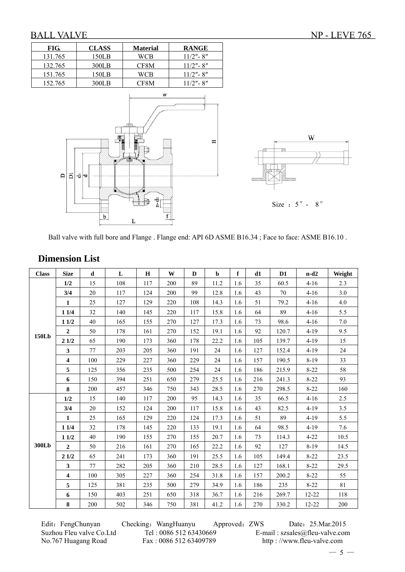| FIG.                     | <b>CLASS</b>             | <b>Material</b>                                              | <b>RANGE</b> |                                                |
|--------------------------|--------------------------|--------------------------------------------------------------|--------------|------------------------------------------------|
| 131.765                  | 150LB                    | <b>WCB</b>                                                   | $11/2" - 8"$ |                                                |
| 132.765                  | 300LB                    | CF8M                                                         | $11/2" - 8"$ |                                                |
| 151.765                  | 150LB                    | <b>WCB</b>                                                   | $11/2" - 8"$ |                                                |
| 152.765                  | 300LB                    | CF8M                                                         | $11/2" - 8"$ |                                                |
| $\overline{a}$<br>$\Box$ | THE<br>ш.<br>히<br>ю<br>b | $\ensuremath{\text{w}}$<br>m<br>ZЩ<br>ख़<br>$n-d2$<br>f<br>L | Η            | W<br>V)<br>viiti.<br>mum<br>Size : $5'' - 8''$ |

Ball valve with full bore and Flange . Flange end: API 6D ASME B16.34 ; Face to face: ASME B16.10 .

| <b>Class</b> | <b>Size</b>             | d   | L   | H   | W   | D   | $\mathbf b$ | $\mathbf f$ | d1  | D <sub>1</sub> | $n-d2$    | Weight  |
|--------------|-------------------------|-----|-----|-----|-----|-----|-------------|-------------|-----|----------------|-----------|---------|
|              | 1/2                     | 15  | 108 | 117 | 200 | 89  | 11.2        | 1.6         | 35  | 60.5           | $4 - 16$  | 2.3     |
|              | 3/4                     | 20  | 117 | 124 | 200 | 99  | 12.8        | 1.6         | 43  | 70             | $4 - 16$  | 3.0     |
|              | $\mathbf{1}$            | 25  | 127 | 129 | 220 | 108 | 14.3        | 1.6         | 51  | 79.2           | $4 - 16$  | 4.0     |
|              | 11/4                    | 32  | 140 | 145 | 220 | 117 | 15.8        | 1.6         | 64  | 89             | $4 - 16$  | 5.5     |
|              | 11/2                    | 40  | 165 | 155 | 270 | 127 | 17.3        | 1.6         | 73  | 98.6           | $4 - 16$  | $7.0\,$ |
|              | $\overline{2}$          | 50  | 178 | 161 | 270 | 152 | 19.1        | 1.6         | 92  | 120.7          | $4 - 19$  | 9.5     |
| 150Lb        | 21/2                    | 65  | 190 | 173 | 360 | 178 | 22.2        | 1.6         | 105 | 139.7          | $4 - 19$  | 15      |
|              | $\overline{\mathbf{3}}$ | 77  | 203 | 205 | 360 | 191 | 24          | 1.6         | 127 | 152.4          | $4 - 19$  | 24      |
|              | $\overline{\mathbf{4}}$ | 100 | 229 | 227 | 360 | 229 | 24          | 1.6         | 157 | 190.5          | $8 - 19$  | 33      |
|              | 5                       | 125 | 356 | 235 | 500 | 254 | 24          | 1.6         | 186 | 215.9          | $8 - 22$  | 58      |
|              | 6                       | 150 | 394 | 251 | 650 | 279 | 25.5        | 1.6         | 216 | 241.3          | $8 - 22$  | 93      |
|              | 8                       | 200 | 457 | 346 | 750 | 343 | 28.5        | 1.6         | 270 | 298.5          | $8 - 22$  | 160     |
|              | 1/2                     | 15  | 140 | 117 | 200 | 95  | 14.3        | 1.6         | 35  | 66.5           | $4 - 16$  | 2.5     |
|              | 3/4                     | 20  | 152 | 124 | 200 | 117 | 15.8        | 1.6         | 43  | 82.5           | $4 - 19$  | 3.5     |
|              | $\mathbf{1}$            | 25  | 165 | 129 | 220 | 124 | 17.3        | 1.6         | 51  | 89             | $4 - 19$  | 5.5     |
|              | 11/4                    | 32  | 178 | 145 | 220 | 133 | 19.1        | 1.6         | 64  | 98.5           | $4 - 19$  | 7.6     |
|              | 11/2                    | 40  | 190 | 155 | 270 | 155 | 20.7        | 1.6         | 73  | 114.3          | $4 - 22$  | 10.5    |
| 300Lb        | $\overline{2}$          | 50  | 216 | 161 | 270 | 165 | 22.2        | 1.6         | 92  | 127            | $8 - 19$  | 14.5    |
|              | 21/2                    | 65  | 241 | 173 | 360 | 191 | 25.5        | 1.6         | 105 | 149.4          | $8 - 22$  | 23.5    |
|              | $\mathbf{3}$            | 77  | 282 | 205 | 360 | 210 | 28.5        | 1.6         | 127 | 168.1          | $8 - 22$  | 29.5    |
|              | $\overline{\mathbf{4}}$ | 100 | 305 | 227 | 360 | 254 | 31.8        | 1.6         | 157 | 200.2          | $8-22$    | 55      |
|              | 5                       | 125 | 381 | 235 | 500 | 279 | 34.9        | 1.6         | 186 | 235            | $8 - 22$  | 81      |
|              | 6                       | 150 | 403 | 251 | 650 | 318 | 36.7        | 1.6         | 216 | 269.7          | $12 - 22$ | 118     |
|              | 8                       | 200 | 502 | 346 | 750 | 381 | 41.2        | 1.6         | 270 | 330.2          | 12-22     | 200     |

## **Dimension List**

Edit: FengChunyan Checking: WangHuanyu Approved: ZWS Date: 25.Mar.2015 Suzhou Fleu valve Co.Ltd Tel : 0086 512 63430669 E-mail : szsales@fleu-valve.com<br>No.767 Huagang Road Fax : 0086 512 63409789 http : //www.fleu-valve.com http : //www.fleu-valve.com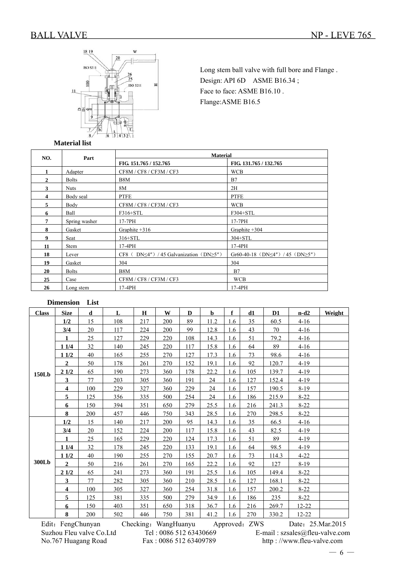

Long stem ball valve with full bore and Flange . Design: API 6D ASME B16.34; Face to face: ASME B16.10 . Flange:ASME B16.5

### **Material list**

| NO. | Part          | <b>Material</b>                                          |                                               |
|-----|---------------|----------------------------------------------------------|-----------------------------------------------|
|     |               | FIG. 151.765 / 152.765                                   | FIG. 131.765 / 132.765                        |
| 1   | Adapter       | CF8M / CF8 / CF3M / CF3                                  | <b>WCB</b>                                    |
| 2   | <b>Bolts</b>  | B8M                                                      | B7                                            |
| 3   | <b>Nuts</b>   | 8M                                                       | 2H                                            |
| 4   | Body seal     | <b>PTFE</b>                                              | <b>PTFE</b>                                   |
| 5   | Body          | CF8M / CF8 / CF3M / CF3                                  | <b>WCB</b>                                    |
| 6   | Ball          | F316+STL                                                 | F304+STL                                      |
| 7   | Spring washer | 17-7PH                                                   | 17-7PH                                        |
| 8   | Gasket        | Graphite $+316$                                          | Graphite +304                                 |
| 9   | Seat          | $316+STL$                                                | $304 + STL$                                   |
| 11  | <b>Stem</b>   | 17-4PH                                                   | $17-4PH$                                      |
| 18  | Lever         | DN $\leq$ 4") / 45 Galvanization (DN $\geq$ 5")<br>CF8 ( | Gr60-40-18 (DN $\leq$ 4") / 45 (DN $\geq$ 5") |
| 19  | Gasket        | 304                                                      | 304                                           |
| 20  | <b>Bolts</b>  | B8M                                                      | B7                                            |
| 25  | Case          | CF8M / CF8 / CF3M / CF3                                  | <b>WCB</b>                                    |
| 26  | Long stem     | 17-4PH                                                   | 17-4PH                                        |

## **Dimension List**

| <b>Class</b> | <b>Size</b>             | d   | L   | Н   | W   | D   | b    | f   | d1  | D1    | $n-d2$    | Weight |
|--------------|-------------------------|-----|-----|-----|-----|-----|------|-----|-----|-------|-----------|--------|
|              | 1/2                     | 15  | 108 | 217 | 200 | 89  | 11.2 | 1.6 | 35  | 60.5  | $4 - 16$  |        |
|              | 3/4                     | 20  | 117 | 224 | 200 | 99  | 12.8 | 1.6 | 43  | 70    | $4 - 16$  |        |
|              | 1                       | 25  | 127 | 229 | 220 | 108 | 14.3 | 1.6 | 51  | 79.2  | $4 - 16$  |        |
|              | 11/4                    | 32  | 140 | 245 | 220 | 117 | 15.8 | 1.6 | 64  | 89    | $4 - 16$  |        |
|              | 11/2                    | 40  | 165 | 255 | 270 | 127 | 17.3 | 1.6 | 73  | 98.6  | $4 - 16$  |        |
|              | $\mathbf{2}$            | 50  | 178 | 261 | 270 | 152 | 19.1 | 1.6 | 92  | 120.7 | $4 - 19$  |        |
| 150Lb        | 21/2                    | 65  | 190 | 273 | 360 | 178 | 22.2 | 1.6 | 105 | 139.7 | $4 - 19$  |        |
|              | $\overline{\mathbf{3}}$ | 77  | 203 | 305 | 360 | 191 | 24   | 1.6 | 127 | 152.4 | $4 - 19$  |        |
|              | $\overline{\mathbf{4}}$ | 100 | 229 | 327 | 360 | 229 | 24   | 1.6 | 157 | 190.5 | $8-19$    |        |
|              | $\overline{5}$          | 125 | 356 | 335 | 500 | 254 | 24   | 1.6 | 186 | 215.9 | $8 - 22$  |        |
|              | 6                       | 150 | 394 | 351 | 650 | 279 | 25.5 | 1.6 | 216 | 241.3 | $8 - 22$  |        |
|              | 8                       | 200 | 457 | 446 | 750 | 343 | 28.5 | 1.6 | 270 | 298.5 | $8 - 22$  |        |
|              | 1/2                     | 15  | 140 | 217 | 200 | 95  | 14.3 | 1.6 | 35  | 66.5  | $4 - 16$  |        |
|              | 3/4                     | 20  | 152 | 224 | 200 | 117 | 15.8 | 1.6 | 43  | 82.5  | $4-19$    |        |
|              | $\mathbf{1}$            | 25  | 165 | 229 | 220 | 124 | 17.3 | 1.6 | 51  | 89    | $4-19$    |        |
|              | 11/4                    | 32  | 178 | 245 | 220 | 133 | 19.1 | 1.6 | 64  | 98.5  | $4 - 19$  |        |
|              | 11/2                    | 40  | 190 | 255 | 270 | 155 | 20.7 | 1.6 | 73  | 114.3 | $4 - 22$  |        |
| 300Lb        | $\overline{2}$          | 50  | 216 | 261 | 270 | 165 | 22.2 | 1.6 | 92  | 127   | $8-19$    |        |
|              | 21/2                    | 65  | 241 | 273 | 360 | 191 | 25.5 | 1.6 | 105 | 149.4 | $8 - 22$  |        |
|              | $\mathbf{3}$            | 77  | 282 | 305 | 360 | 210 | 28.5 | 1.6 | 127 | 168.1 | $8 - 22$  |        |
|              | $\overline{\mathbf{4}}$ | 100 | 305 | 327 | 360 | 254 | 31.8 | 1.6 | 157 | 200.2 | $8-22$    |        |
|              | 5                       | 125 | 381 | 335 | 500 | 279 | 34.9 | 1.6 | 186 | 235   | $8 - 22$  |        |
|              | 6                       | 150 | 403 | 351 | 650 | 318 | 36.7 | 1.6 | 216 | 269.7 | $12 - 22$ |        |
|              | 8                       | 200 | 502 | 446 | 750 | 381 | 41.2 | 1.6 | 270 | 330.2 | 12-22     |        |

Edit: FengChunyan Checking: WangHuanyu Approved: ZWS Date: 25.Mar.2015

Suzhou Fleu valve Co.Ltd Tel : 0086 512 63430669 E-mail : szsales@fleu-valve.com<br>No.767 Huagang Road Fax : 0086 512 63409789 http : //www.fleu-valve.com No.767 Huagang Road Fax : 0086 512 63409789 http : //www.fleu-valve.com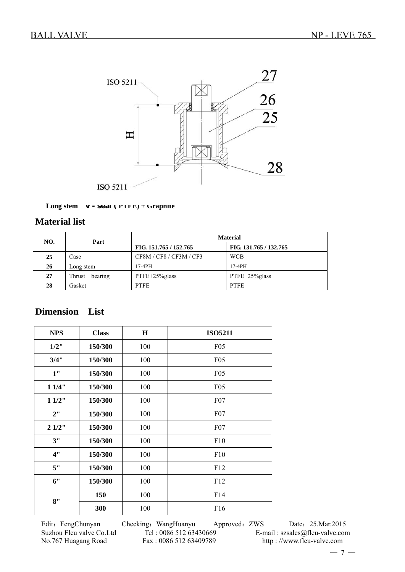

### **Long stem V - seal ( PTFE) + Graphite**

# **Material list**

| NO. | Part           | <b>Material</b>         |                        |  |  |  |  |
|-----|----------------|-------------------------|------------------------|--|--|--|--|
|     |                | FIG. 151.765 / 152.765  | FIG. 131.765 / 132.765 |  |  |  |  |
| 25  | Case           | CF8M / CF8 / CF3M / CF3 | <b>WCB</b>             |  |  |  |  |
| 26  | Long stem      | $17-4PH$                | $17-4PH$               |  |  |  |  |
| 27  | Thrust bearing | PTFE+25%glass           | PTFE+25%glass          |  |  |  |  |
| 28  | Gasket         | <b>PTFE</b>             | <b>PTFE</b>            |  |  |  |  |

# **Dimension List**

| <b>NPS</b> | <b>Class</b> | $\bf H$ | <b>ISO5211</b> |
|------------|--------------|---------|----------------|
| $1/2$ "    | 150/300      | 100     | F05            |
| 3/4"       | 150/300      | 100     | F05            |
| 1"         | 150/300      | 100     | F05            |
| 11/4"      | 150/300      | 100     | F05            |
| 11/2"      | 150/300      | 100     | F07            |
| 2"         | 150/300      | 100     | F07            |
| 21/2"      | 150/300      | 100     | F07            |
| 3"         | 150/300      | 100     | F10            |
| 4"         | 150/300      | 100     | F10            |
| 5"         | 150/300      | 100     | F12            |
| 6"         | 150/300      | 100     | F12            |
| 8"         | 150          | 100     | F14            |
|            | 300          | 100     | F16            |

Edit: FengChunyan Checking: WangHuanyu Approved: ZWS Date: 25.Mar.2015 Suzhou Fleu valve Co.Ltd Tel : 0086 512 63430669 E-mail : szsales@fleu-valve.com<br>No.767 Huagang Road Fax : 0086 512 63409789 http : //www.fleu-valve.com